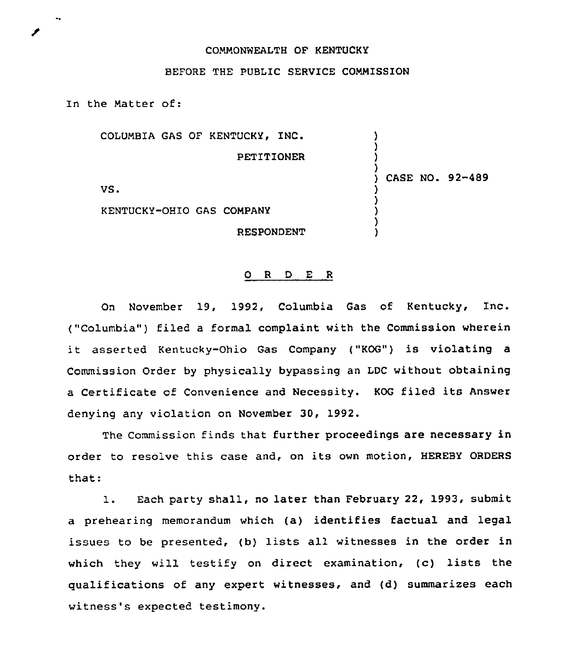## COMMONWEALTH OF KENTUCKY

## BEFORE THE PUBLIC SERVICE COMMISSION

In the Matter of:

COLUMBIA GAS OF KENTUCKY, INC. PETITIONER VS. KENTUCKY-OHIO GAS COMPANY RESPONDENT ) ) ) ) ) CASE NO. 92-489 ) ) ) ) )

## 0 R <sup>D</sup> E R

On November 19, 1992, Columbia Gas of Kentucky, Inc. ("Columbia") filed a formal complaint with the Commission wherein it asserted Kentucky-Ohio Gas Company ("KOG") is violating <sup>a</sup> Commission Order by physically bypassing an LDC without obtaining <sup>a</sup> Certificate of Convenience and Necessity. KOG filed its Answer denying any violation on November 30, 1992.

The Commission finds that further proceedings are necessary in order to resolve this case and, on its own motion, HEREBY ORDERS that:

1. Each party shall, no later than February 22, 1993, submit a prehearing memorandum which (a) identifies factual and legal issues to be presented, (b) lists all witnesses in the order in which they will testify on direct examination, (c) lists the qualifications of any expert witnesses, and (d) summarizes each witness's expected testimony.